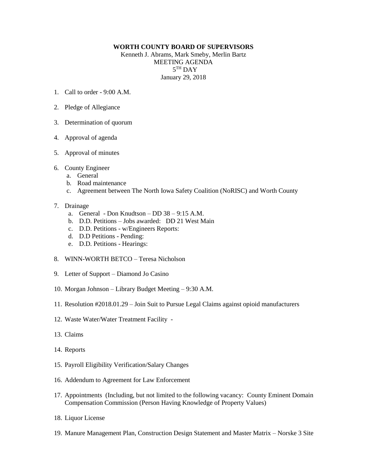## **WORTH COUNTY BOARD OF SUPERVISORS**

Kenneth J. Abrams, Mark Smeby, Merlin Bartz MEETING AGENDA  $5^{\text{TH}}$  DAY January 29, 2018

- 1. Call to order 9:00 A.M.
- 2. Pledge of Allegiance
- 3. Determination of quorum
- 4. Approval of agenda
- 5. Approval of minutes
- 6. County Engineer
	- a. General
	- b. Road maintenance
	- c. Agreement between The North Iowa Safety Coalition (NoRISC) and Worth County

## 7. Drainage

- a. General Don Knudtson DD 38 9:15 A.M.
- b. D.D. Petitions Jobs awarded: DD 21 West Main
- c. D.D. Petitions w/Engineers Reports:
- d. D.D Petitions Pending:
- e. D.D. Petitions Hearings:
- 8. WINN-WORTH BETCO Teresa Nicholson
- 9. Letter of Support Diamond Jo Casino
- 10. Morgan Johnson Library Budget Meeting 9:30 A.M.
- 11. Resolution #2018.01.29 Join Suit to Pursue Legal Claims against opioid manufacturers
- 12. Waste Water/Water Treatment Facility -
- 13. Claims
- 14. Reports
- 15. Payroll Eligibility Verification/Salary Changes
- 16. Addendum to Agreement for Law Enforcement
- 17. Appointments (Including, but not limited to the following vacancy: County Eminent Domain Compensation Commission (Person Having Knowledge of Property Values)
- 18. Liquor License
- 19. Manure Management Plan, Construction Design Statement and Master Matrix Norske 3 Site